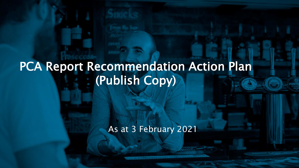## PCA Report Recommendation Action Plan (Publish Copy)

As at 3 February 2021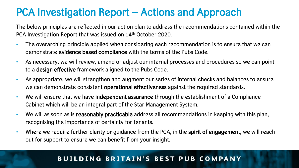### PCA Investigation Report – Actions and Approach

The below principles are reflected in our action plan to address the recommendations contained within the PCA Investigation Report that was issued on 14<sup>th</sup> October 2020.

- The overarching principle applied when considering each recommendation is to ensure that we can demonstrate evidence based compliance with the terms of the Pubs Code.
- As necessary, we will review, amend or adjust our internal processes and procedures so we can point to a design effective framework aligned to the Pubs Code.
- As appropriate, we will strengthen and augment our series of internal checks and balances to ensure we can demonstrate consistent operational effectiveness against the required standards.
- We will ensure that we have independent assurance through the establishment of a Compliance Cabinet which will be an integral part of the Star Management System.
- We will as soon as is reasonably practicable address all recommendations in keeping with this plan, recognising the importance of certainty for tenants.
- Where we require further clarity or guidance from the PCA, in the spirit of engagement, we will reach out for support to ensure we can benefit from your insight.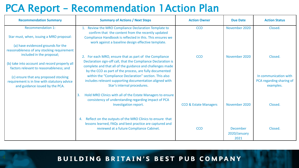### PCA Report – Recommendation 1Action Plan

| <b>Recommendation Summary</b>                                                                                            | <b>Summary of Actions / Next Steps</b><br><b>Action Owner</b>                                                                                                                                                                 |                                  | <b>Due Date</b>          | <b>Action Status</b>                                           |
|--------------------------------------------------------------------------------------------------------------------------|-------------------------------------------------------------------------------------------------------------------------------------------------------------------------------------------------------------------------------|----------------------------------|--------------------------|----------------------------------------------------------------|
| <b>Recommendation 1:</b><br>Star must, when, issuing a MRO proposal:                                                     | 1. Review the MRO Compliance Declaration Template to<br>confirm that the content from the recently updated<br>Compliance Handbook is reflected in this. This ensures we<br>work against a baseline design effective template. | <b>CCO</b>                       | November 2020            | Closed.                                                        |
| (a) have evidenced grounds for the<br>reasonableness of any stocking requirement<br>included in the proposal;            | 2. For each MRO, ensure that as part of the Compliance                                                                                                                                                                        | <b>CCO</b>                       | November 2020            | Closed.                                                        |
| (b) take into account and record properly all<br>factors relevant to reasonableness; and                                 | Declaration sign-off call, that the Compliance Declaration is<br>complete and that all of the guidance and challenges made<br>by the CCO as part of the process, are fully documented                                         |                                  |                          |                                                                |
| (c) ensure that any proposed stocking<br>requirement is in line with statutory advice<br>and guidance issued by the PCA. | within the "Compliance Declaration" section. This also<br>includes relevant supporting documentation aligned with<br>Star's internal procedures.                                                                              |                                  |                          | In communication with<br>PCA regarding sharing of<br>examples. |
|                                                                                                                          | Hold MRO Clinics with all of the Estate Managers to ensure<br>3.<br>consistency of understanding regarding impact of PCA<br>Investigation report.                                                                             | <b>CCO &amp; Estate Managers</b> | November 2020            | Closed.                                                        |
|                                                                                                                          | Reflect on the outputs of the MRO Clinics to ensure that<br>4.<br>lessons learned, FAQs and best practice are captured and<br>reviewed at a future Compliance Cabinet.                                                        | <b>CCO</b>                       | December<br>2020/January | Closed.                                                        |
|                                                                                                                          |                                                                                                                                                                                                                               |                                  | 2021                     |                                                                |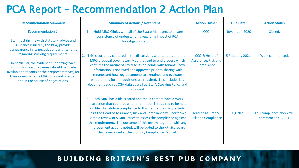### PCA Report – Recommendation 2 Action Plan

| <b>Recommendation Summary</b>                                                                                                                                                                                                                                         | <b>Summary of Actions / Next Steps</b>                                                                                                                                                                                                                                                                                                                                                                                                                                                                                                 | <b>Action Owner</b>                                | <b>Due Date</b> | <b>Action Status</b>                            |
|-----------------------------------------------------------------------------------------------------------------------------------------------------------------------------------------------------------------------------------------------------------------------|----------------------------------------------------------------------------------------------------------------------------------------------------------------------------------------------------------------------------------------------------------------------------------------------------------------------------------------------------------------------------------------------------------------------------------------------------------------------------------------------------------------------------------------|----------------------------------------------------|-----------------|-------------------------------------------------|
| <b>Recommendation 2:</b><br>Star must (in line with statutory advice and<br>guidance issued by the PCA) provide<br>transparency in its negotiations with tenants                                                                                                      | Hold MRO Clinics with all of the Estate Managers to ensure<br>$\mathbf{1}$ .<br>consistency of understanding regarding impact of PCA<br>Investigation report.                                                                                                                                                                                                                                                                                                                                                                          | <b>CCO</b>                                         | November 2020   | Closed.                                         |
| regarding stocking requirements.<br>In particular, the evidence supporting each<br>ground for reasonableness should be made<br>available to tenants or their representatives, for<br>their review when a MRO proposal is issued<br>and in the course of negotiations. | 2. This is currently captured in the discussions with tenants and their<br>MRO proposal cover letter. Map that end to end process which<br>captures the nature of key discussion points with tenants, how<br>information is reviewed and approved prior to sharing with<br>tenants and how key documents are retained and evaluate<br>whether any further additions are required. This includes key<br>documents such as CGA data as well as Star's Stocking Policy and<br>Proposal.                                                   | CCO & Head of<br>Assurance, Risk and<br>Compliance | 5 February 2021 | Work commenced.                                 |
|                                                                                                                                                                                                                                                                       | Each MRO has a file created and the CCO team have a Work<br>3.<br>Instruction that captures what information is required to be held<br>on file. To validate compliance to this standard, on a quarterly<br>basis the Head of Assurance, Risk and Compliance will perform a<br>sample review of 5 MRO cases to assess the compliance against<br>this requirement. The outcome of this review, together with any<br>improvement actions noted, will be added to the KPI Scorecard<br>that is reviewed at the monthly Compliance Cabinet. | Head of Assurance,<br><b>Risk and Compliance</b>   | Q1 2021         | This compliance check will<br>commence Q1 2021. |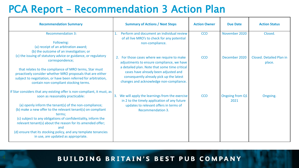### PCA Report – Recommendation 3 Action Plan

| <b>Recommendation Summary</b>                                                                                                                                                                                                                                                                                                                                                                                                                                                                 | <b>Summary of Actions / Next Steps</b>                                                                                                                                      | <b>Action Owner</b> | <b>Due Date</b>         | <b>Action Status</b>               |
|-----------------------------------------------------------------------------------------------------------------------------------------------------------------------------------------------------------------------------------------------------------------------------------------------------------------------------------------------------------------------------------------------------------------------------------------------------------------------------------------------|-----------------------------------------------------------------------------------------------------------------------------------------------------------------------------|---------------------|-------------------------|------------------------------------|
| <b>Recommendation 3:</b><br>Following:<br>(a) receipt of an arbitration award;<br>(b) the outcome of an investigation; or                                                                                                                                                                                                                                                                                                                                                                     | Perform and document an individual review<br>of all live MRO's to check for any potential<br>non-compliance.                                                                | <b>CCO</b>          | November 2020           | Closed.                            |
| (c) the issuing of statutory advice or guidance, or regulatory<br>correspondence;                                                                                                                                                                                                                                                                                                                                                                                                             | 2. For those cases where we require to make<br>adjustments to ensure compliance, we have                                                                                    | <b>CCO</b>          | December 2020           | Closed. Detailed Plan in<br>place. |
| that relates to the compliance of MRO terms, Star must<br>proactively consider whether MRO proposals that are either<br>subject to negotiation, or have been referred for arbitration,<br>contain non-compliant stocking terms.                                                                                                                                                                                                                                                               | a detailed plan. Note that some time critical<br>cases have already been adjusted and<br>consequently already pick up the latest<br>changes and acknowledge non-compliance. |                     |                         |                                    |
| If Star considers that any existing offer is non-compliant, it must, as<br>soon as reasonably practicable:<br>(a) openly inform the tenant(s) of the non-compliance;<br>(b) make a new offer to the relevant tenant(s) on compliant<br>terms;<br>(c) subject to any obligations of confidentiality, inform the<br>relevant tenant(s) about the reason for its amended offer;<br>and<br>(d) ensure that its stocking policy, and any template tenancies<br>in use, are updated as appropriate. | We will apply the learnings from the exercise<br>in 2 to the timely application of any future<br>updates to relevant offers in terms of<br><b>Recommendation 3.</b>         | <b>CCO</b>          | Ongoing from Q1<br>2021 | Ongoing.                           |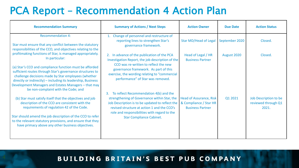### PCA Report – Recommendation 4 Action Plan

| <b>Summary of Actions / Next Steps</b><br><b>Recommendation Summary</b>                                                                                                                                                                                                                                                                    |                                                                                                                                                                                                                                                                                   | <b>Action Owner</b>                                                          | <b>Due Date</b> | <b>Action Status</b>                                  |
|--------------------------------------------------------------------------------------------------------------------------------------------------------------------------------------------------------------------------------------------------------------------------------------------------------------------------------------------|-----------------------------------------------------------------------------------------------------------------------------------------------------------------------------------------------------------------------------------------------------------------------------------|------------------------------------------------------------------------------|-----------------|-------------------------------------------------------|
| <b>Recommendation 4:</b>                                                                                                                                                                                                                                                                                                                   | 1. Change of personnel and restructure of                                                                                                                                                                                                                                         |                                                                              |                 |                                                       |
| Star must ensure that any conflict between the statutory<br>responsibilities of the CCO, and objectives relating to the                                                                                                                                                                                                                    | reporting lines to strengthen Star's<br>governance framework.                                                                                                                                                                                                                     | <b>Star MD/Head of Legal</b>                                                 | September 2020  | Closed.                                               |
| profitmaking functions of Star, is managed appropriately.<br>In particular:                                                                                                                                                                                                                                                                | 2. In advance of the publication of the PCA<br>Investigation Report, the job description of the                                                                                                                                                                                   | Head of Legal / HR<br><b>Business Partner</b>                                | August 2020     | Closed.                                               |
| (a) Star's CCO and compliance function must be afforded<br>sufficient routes through Star's governance structures to<br>challenge decisions made by Star employees (whether<br>directly or indirectly) - including its leadership, Business<br>Development Managers and Estates Managers - that may<br>be non-complaint with the Code; and | CCO was re-written to reflect the new<br>governance framework. As part of this<br>exercise, the wording relating to "commercial<br>performance" of Star was removed.                                                                                                              |                                                                              |                 |                                                       |
| (b) Star must satisfy itself that the objectives and job<br>description of the CCO are consistent with the<br>requirements of regulation 42 of the Code.<br>Star should amend the job description of the CCO to refer<br>to the relevant statutory provisions, and ensure that they<br>have primacy above any other business objectives.   | To reflect Recommendation 4(b) and the<br>3.<br>strengthening of Governance within Star, the<br>Job Description is to be updated to reflect the<br>revised structure at action 1 and the CCO's<br>role and responsibilities with regard to the<br><b>Star Compliance Cabinet.</b> | Head of Assurance, Risk<br>& Compliance / Star HR<br><b>Business Partner</b> | Q1 2021         | Job Description to be<br>reviewed through Q1<br>2021. |
|                                                                                                                                                                                                                                                                                                                                            |                                                                                                                                                                                                                                                                                   |                                                                              |                 |                                                       |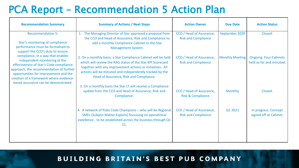### PCA Report – Recommendation 5 Action Plan

| <b>Recommendation Summary</b>                                                                                                                                                                                                                                                                                                                                                                                                | <b>Summary of Actions / Next Steps</b>                                                                                                                                                                                                                                                                                                                         | <b>Action Owner</b>                                      | <b>Due Date</b>        | <b>Action Status</b>                                      |
|------------------------------------------------------------------------------------------------------------------------------------------------------------------------------------------------------------------------------------------------------------------------------------------------------------------------------------------------------------------------------------------------------------------------------|----------------------------------------------------------------------------------------------------------------------------------------------------------------------------------------------------------------------------------------------------------------------------------------------------------------------------------------------------------------|----------------------------------------------------------|------------------------|-----------------------------------------------------------|
| <b>Recommendation 5:</b><br>Star's monitoring of compliance<br>performance must be formalised to<br>support the CCO's duty to ensure<br>compliance, in a way that enables<br>independent monitoring of the<br>effectiveness of Star's Code compliance<br>approach, the recommendation of further<br>opportunities for improvement and the<br>creation of a framework where evidence-<br>based assurance can be demonstrated. | 1. The Managing Director of Star approved a proposal from<br>the CCO and Head of Assurance, Risk and Compliance to<br>add a monthly Compliance Cabinet to the Star<br><b>Management System.</b>                                                                                                                                                                | CCO / Head of Assurance,<br><b>Risk and Compliance</b>   | September 2020         | Closed.                                                   |
|                                                                                                                                                                                                                                                                                                                                                                                                                              | 2. On a monthly basis, a Star Compliance Cabinet will be held<br>which will review the RAG status of the Star KPI Scorecard<br>together with any improvement actions or initiatives. All<br>actions will be minuted and independently tracked by the<br>Head of Assurance, Risk and Compliance.<br>3. On a monthly basis the Star LT will receive a Compliance | CCO / Head of Assurance,<br><b>Risk and Compliance</b>   | <b>Monthly Meeting</b> | <b>Ongoing. Four Cabinets</b><br>held so far and minuted. |
|                                                                                                                                                                                                                                                                                                                                                                                                                              | update from the CCO and Head of Assurance, Risk and<br>Compliance.                                                                                                                                                                                                                                                                                             | CCO / Head of Assurance,<br><b>Risk &amp; Compliance</b> | <b>Monthly</b>         | Closed.                                                   |
|                                                                                                                                                                                                                                                                                                                                                                                                                              | 4. A network of Pubs Code Champions - who will be Regional<br><b>SMEs (Subject Matter Experts) focussing on operational</b><br>excellence - to be established across the business through Q1<br>21.                                                                                                                                                            | CCO / Head of Assurance,<br><b>Risk and Compliance</b>   | Q1 2021                | In progress. Concept<br>signed off at Cabinet.            |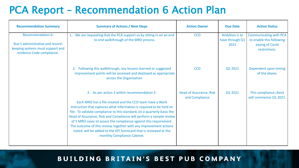### PCA Report – Recommendation 6 Action Plan

| <b>Recommendation Summary</b>                                                                                           | <b>Summary of Actions / Next Steps</b>                                                                                                                                                                                                                                                                                                                                                                                                                                                                                                                                          | <b>Action Owner</b>                              | <b>Due Date</b>                           | <b>Action Status</b>                                                                          |
|-------------------------------------------------------------------------------------------------------------------------|---------------------------------------------------------------------------------------------------------------------------------------------------------------------------------------------------------------------------------------------------------------------------------------------------------------------------------------------------------------------------------------------------------------------------------------------------------------------------------------------------------------------------------------------------------------------------------|--------------------------------------------------|-------------------------------------------|-----------------------------------------------------------------------------------------------|
| Recommendation 6:<br>Star's administrative and record-<br>keeping systems must support and<br>evidence Code compliance. | 1. We are requesting that the PCA support us by sitting in on an end<br>to end walkthrough of the MRO process.                                                                                                                                                                                                                                                                                                                                                                                                                                                                  | <b>CCO</b>                                       | Ambition is to<br>have through Q1<br>2021 | <b>Communicating with PCA</b><br>to enable this following<br>easing of Covid<br>restrictions. |
|                                                                                                                         | Following this walkthrough, any lessons learned or suggested<br>2.<br>improvement points will be assessed and deployed as appropriate<br>across the Organisation.                                                                                                                                                                                                                                                                                                                                                                                                               | <b>CCO</b>                                       | Q2 2021                                   | Dependent upon timing<br>of the above.                                                        |
|                                                                                                                         | 3. As per action 3 within recommendation 2:<br>Each MRO has a file created and the CCO team have a Work<br>Instruction that captures what information is required to be held on<br>file. To validate compliance to this standard, on a quarterly basis the<br>Head of Assurance, Risk and Compliance will perform a sample review<br>of 5 MRO cases to assess the compliance against this requirement.<br>The outcome of this review, together with any improvement actions<br>noted, will be added to the KPI Scorecard that is reviewed at the<br>monthly Compliance Cabinet. | <b>Head of Assurance, Risk</b><br>and Compliance | Q1 2021                                   | This compliance check<br>will commence Q1 2021.                                               |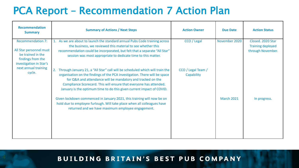### PCA Report – Recommendation 7 Action Plan

| <b>Recommendation</b><br><b>Summary</b>                                                                                  | <b>Summary of Actions / Next Steps</b>                                                                                                                                                                                                                                                                                                                                                                                                             | <b>Action Owner</b>              | <b>Due Date</b>   | <b>Action Status</b>                                               |
|--------------------------------------------------------------------------------------------------------------------------|----------------------------------------------------------------------------------------------------------------------------------------------------------------------------------------------------------------------------------------------------------------------------------------------------------------------------------------------------------------------------------------------------------------------------------------------------|----------------------------------|-------------------|--------------------------------------------------------------------|
| <b>Recommendation 7:</b><br>All Star personnel must<br>be trained in the<br>findings from the<br>investigation in Star's | 1. As we are about to launch the standard annual Pubs Code training across<br>the business, we reviewed this material to see whether this<br>recommendation could be incorporated, but felt that a separate "All Star"<br>session was most appropriate to dedicate time to this matter.                                                                                                                                                            | CCO / Legal                      | November 2020     | Closed. 2020 Star<br><b>Training deployed</b><br>through November. |
| next annual training<br>cycle.                                                                                           | Through January 21, a "All Star" call will be scheduled which will train the<br>organisation on the findings of the PCA investigation. There will be space<br>for Q&A and attendance will be mandatory and tracked on the<br>Compliance Scorecard. This will ensure that everyone has attended.<br>January is the optimum time to do this given current impact of COVID.<br>Given lockdown commenced in January 2021, this training will now be on | CCO / Legal Team /<br>Capability | <b>March 2021</b> | In progress.                                                       |
|                                                                                                                          | hold due to employee furlough. Will take place when all colleagues have<br>returned and we have maximum employee engagement.                                                                                                                                                                                                                                                                                                                       |                                  |                   |                                                                    |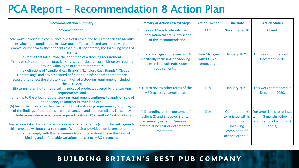### PCA Report – Recommendation 8 Action Plan

| <b>Recommendation Summary</b>                                                                                                                                                                                                                                                                                                                                                                                                                                                           | <b>Summary of Actions / Next Steps</b>                                                                                                                  | <b>Action Owner</b>                                   | <b>Due Date</b>                                                                 | <b>Action Status</b>                                                                             |
|-----------------------------------------------------------------------------------------------------------------------------------------------------------------------------------------------------------------------------------------------------------------------------------------------------------------------------------------------------------------------------------------------------------------------------------------------------------------------------------------|---------------------------------------------------------------------------------------------------------------------------------------------------------|-------------------------------------------------------|---------------------------------------------------------------------------------|--------------------------------------------------------------------------------------------------|
| <b>Recommendation 8:</b>                                                                                                                                                                                                                                                                                                                                                                                                                                                                | Review MROs to identify the full                                                                                                                        | <b>CCO</b>                                            | November 2020                                                                   | Closed.                                                                                          |
| Star must undertake a compliance audit of its executed MRO tenancies to identify<br>existing non-compliant terms. Star must offer to affected tenants to vary or<br>remove, or confirm to those tenants that it will not enforce, the following types of                                                                                                                                                                                                                                | population that falls into scope<br>of this recommendation.                                                                                             |                                                       |                                                                                 |                                                                                                  |
| terms:<br>(a) terms that fall outside the definition of a stocking requirement:<br>(i) any existing term that in practice serves as an absolute prohibition on stocking<br>any individual type of competitor brands;<br>(ii) the definitions of "Landlord Keg Brands", "Landlord Cask Brands", "Group<br>Undertaking" and any associated definitions, insofar as amendments are<br>necessary to reflect the statutory definition of a stocking requirement included in<br>the 2015 Act; | 2. Estate Managers to review MROs,<br>specifically focussing on Stocking<br>Tables in line with Pubs Code<br>requirements.                              | <b>Estate Managers</b><br>with CCO co-<br>ordinating. | January 2021                                                                    | This work commenced in<br>December 2020.                                                         |
| (iii) terms referring to the re-selling prices of products covered by the stocking<br>requirements; and<br>(iv) terms to the effect that the stocking requirement continues to apply on sale of<br>the tenancy to another brewer landlord.<br>(b) terms that may fall within the definition of a stocking requirement, but, in light                                                                                                                                                    | 3. DLA to review other terms of the<br>MRO to assess compliance.                                                                                        | <b>DLA</b>                                            | January 2021                                                                    | This work commenced in<br>December 2020.                                                         |
| of the findings of the report, are unreasonable and non-compliant. These may<br>include terms where tenants are required to stock 60% Landlord Cask Products.<br>Any actions taken by Star to remove or vary tenancy terms (should tenants agree to<br>this), must be without cost to tenants. Where Star provides side letters to tenants                                                                                                                                              | 4. Depending on the outcome of<br>actions 2) and 3) above, Star to<br>ensure any variation/removal<br>offered at no cost or detriment to<br>the tenant. | <b>DLA</b>                                            | Our ambition is<br>to re-issue within<br>3 months<br>following<br>completion of | Our ambition is to re-issue<br>within 3 months following<br>completion of actions 2)<br>and $3)$ |
| in order to comply with this recommendation, these should be in the form of<br>binding and enforceable variations to existing MRO tenancies.                                                                                                                                                                                                                                                                                                                                            |                                                                                                                                                         |                                                       | actions 2) and 3)                                                               |                                                                                                  |